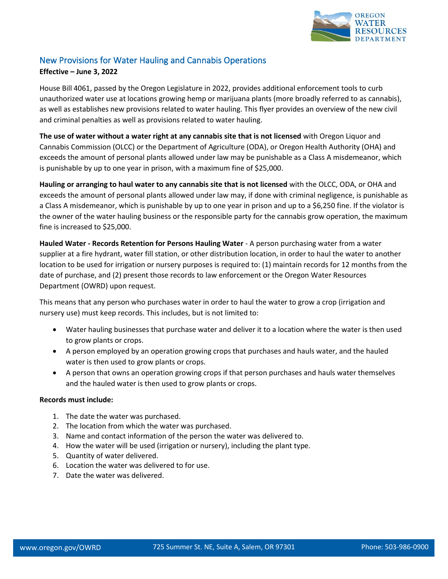

## New Provisions for Water Hauling and Cannabis Operations

## **Effective – June 3, 2022**

House Bill 4061, passed by the Oregon Legislature in 2022, provides additional enforcement tools to curb unauthorized water use at locations growing hemp or marijuana plants (more broadly referred to as cannabis), as well as establishes new provisions related to water hauling. This flyer provides an overview of the new civil and criminal penalties as well as provisions related to water hauling.

**The use of water without a water right at any cannabis site that is not licensed** with Oregon Liquor and Cannabis Commission (OLCC) or the Department of Agriculture (ODA), or Oregon Health Authority (OHA) and exceeds the amount of personal plants allowed under law may be punishable as a Class A misdemeanor, which is punishable by up to one year in prison, with a maximum fine of \$25,000.

**Hauling or arranging to haul water to any cannabis site that is not licensed** with the OLCC, ODA, or OHA and exceeds the amount of personal plants allowed under law may, if done with criminal negligence, is punishable as a Class A misdemeanor, which is punishable by up to one year in prison and up to a \$6,250 fine. If the violator is the owner of the water hauling business or the responsible party for the cannabis grow operation, the maximum fine is increased to \$25,000.

**Hauled Water - Records Retention for Persons Hauling Water** - A person purchasing water from a water supplier at a fire hydrant, water fill station, or other distribution location, in order to haul the water to another location to be used for irrigation or nursery purposes is required to: (1) maintain records for 12 months from the date of purchase, and (2) present those records to law enforcement or the Oregon Water Resources Department (OWRD) upon request.

This means that any person who purchases water in order to haul the water to grow a crop (irrigation and nursery use) must keep records. This includes, but is not limited to:

- Water hauling businesses that purchase water and deliver it to a location where the water is then used to grow plants or crops.
- A person employed by an operation growing crops that purchases and hauls water, and the hauled water is then used to grow plants or crops.
- A person that owns an operation growing crops if that person purchases and hauls water themselves and the hauled water is then used to grow plants or crops.

## **Records must include:**

- 1. The date the water was purchased.
- 2. The location from which the water was purchased.
- 3. Name and contact information of the person the water was delivered to.
- 4. How the water will be used (irrigation or nursery), including the plant type.
- 5. Quantity of water delivered.
- 6. Location the water was delivered to for use.
- 7. Date the water was delivered.